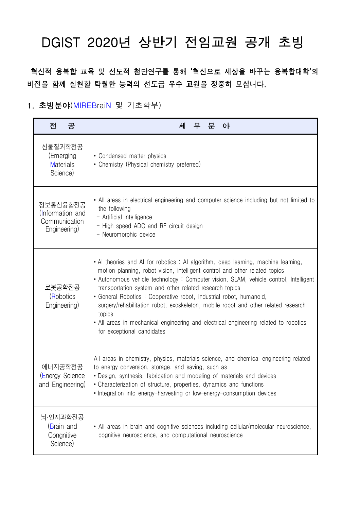# DGIST 2020년 상반기 전임교원 공개 초빙

 혁신적 융복합 교육 및 선도적 첨단연구를 통해 '혁신으로 세상을 바꾸는 융복합대학'의 비전을 함께 실현할 탁월한 능력의 선도급 우수 교원을 정중히 모십니다.

# 1. 초빙분야(MIREBraiN 및 기초학부)

| 전<br>공                                                        | 세<br>부<br>분<br>$\mathsf{O}^{\mathsf{F}}$                                                                                                                                                                                                                                                                                                                                                                                                                                                                                                                                                                         |
|---------------------------------------------------------------|------------------------------------------------------------------------------------------------------------------------------------------------------------------------------------------------------------------------------------------------------------------------------------------------------------------------------------------------------------------------------------------------------------------------------------------------------------------------------------------------------------------------------------------------------------------------------------------------------------------|
| 신물질과학전공<br>(Emerging<br><b>Materials</b><br>Science)          | • Condensed matter physics<br>• Chemistry (Physical chemistry preferred)                                                                                                                                                                                                                                                                                                                                                                                                                                                                                                                                         |
| 정보통신융합전공<br>(Information and<br>Communication<br>Engineering) | • All areas in electrical engineering and computer science including but not limited to<br>the following<br>- Artificial intelligence<br>- High speed ADC and RF circuit design<br>- Neuromorphic device                                                                                                                                                                                                                                                                                                                                                                                                         |
| 로봇공학전공<br>(Robotics<br>Engineering)                           | • Al theories and Al for robotics : Al algorithm, deep learning, machine learning,<br>motion planning, robot vision, intelligent control and other related topics<br>• Autonomous vehicle technology: Computer vision, SLAM, vehicle control, Intelligent<br>transportation system and other related research topics<br>• General Robotics: Cooperative robot, Industrial robot, humanoid,<br>surgery/rehabilitation robot, exoskeleton, mobile robot and other related research<br>topics<br>• All areas in mechanical engineering and electrical engineering related to robotics<br>for exceptional candidates |
| 에너지공학전공<br>(Energy Science<br>and Engineering)                | All areas in chemistry, physics, materials science, and chemical engineering related<br>to energy conversion, storage, and saving, such as<br>• Design, synthesis, fabrication and modeling of materials and devices<br>• Characterization of structure, properties, dynamics and functions<br>• Integration into energy-harvesting or low-energy-consumption devices                                                                                                                                                                                                                                            |
| 뇌·인지과학전공<br>(Brain and<br>Congnitive<br>Science)              | • All areas in brain and cognitive sciences including cellular/molecular neuroscience,<br>cognitive neuroscience, and computational neuroscience                                                                                                                                                                                                                                                                                                                                                                                                                                                                 |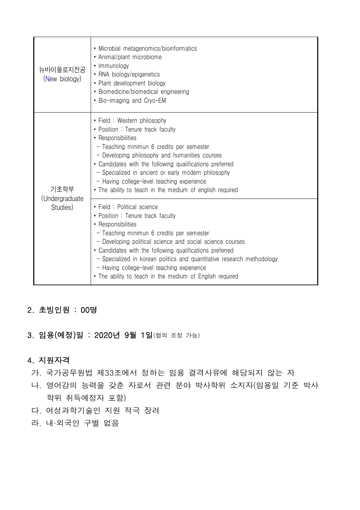| 뉴바이올로지전공<br>(New biology)          | • Microbial metagenomics/bioinformatics<br>• Animal/plant microbiome<br>• Immunology<br>• RNA biology/epigenetics<br>• Plant development biology<br>• Biomedicine/biomedical engineering<br>• Bio-imaging and Cryo-EM                                                                                                                                                                                                                           |
|------------------------------------|-------------------------------------------------------------------------------------------------------------------------------------------------------------------------------------------------------------------------------------------------------------------------------------------------------------------------------------------------------------------------------------------------------------------------------------------------|
| 기초학부<br>(Undergraduate<br>Studies) | • Field: Western philosophy<br>• Position : Tenure track faculty<br>• Responsibilities<br>- Teaching minimun 6 credits per semester<br>- Developing philosophy and humanities courses<br>• Candidates with the following qualifications preferred<br>- Specialized in ancient or early modern philosophy<br>- Having college-level teaching experience<br>• The ability to teach in the medium of english required                              |
|                                    | • Field: Political science<br>• Position : Tenure track faculty<br>• Responsibilities<br>- Teaching minimun 6 credits per semester<br>- Developing political science and social science courses<br>• Candidates with the following qualifications preferred<br>- Specialized in korean politics and quantitative research methodology<br>- Having college-level teaching experience<br>• The ability to teach in the medium of English required |

# 2. 초빙인원 : 00명

## 3. 임용(예정)일 : 2020년 9월 1일(협의 조정 가능)

## 4. 지원자격

가. 국가공무원법 제33조에서 정하는 임용 결격사유에 해당되지 않는 자

- 나. 영어강의 능력을 갖춘 자로서 관련 분야 박사학위 소지자(임용일 기준 박사 학위 취득예정자 포함)
- 다. 여성과학기술인 지원 적극 장려
- 라. 내·외국인 구별 없음